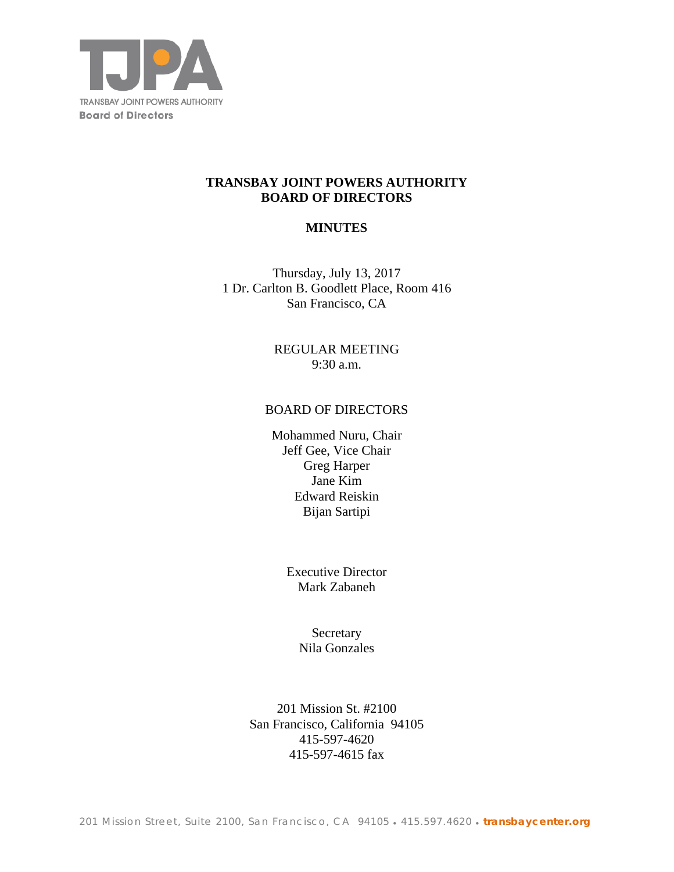

## **TRANSBAY JOINT POWERS AUTHORITY BOARD OF DIRECTORS**

## **MINUTES**

Thursday, July 13, 2017 1 Dr. Carlton B. Goodlett Place, Room 416 San Francisco, CA

> REGULAR MEETING 9:30 a.m.

### BOARD OF DIRECTORS

Mohammed Nuru, Chair Jeff Gee, Vice Chair Greg Harper Jane Kim Edward Reiskin Bijan Sartipi

> Executive Director Mark Zabaneh

> > Secretary Nila Gonzales

201 Mission St. #2100 San Francisco, California 94105 415-597-4620 415-597-4615 fax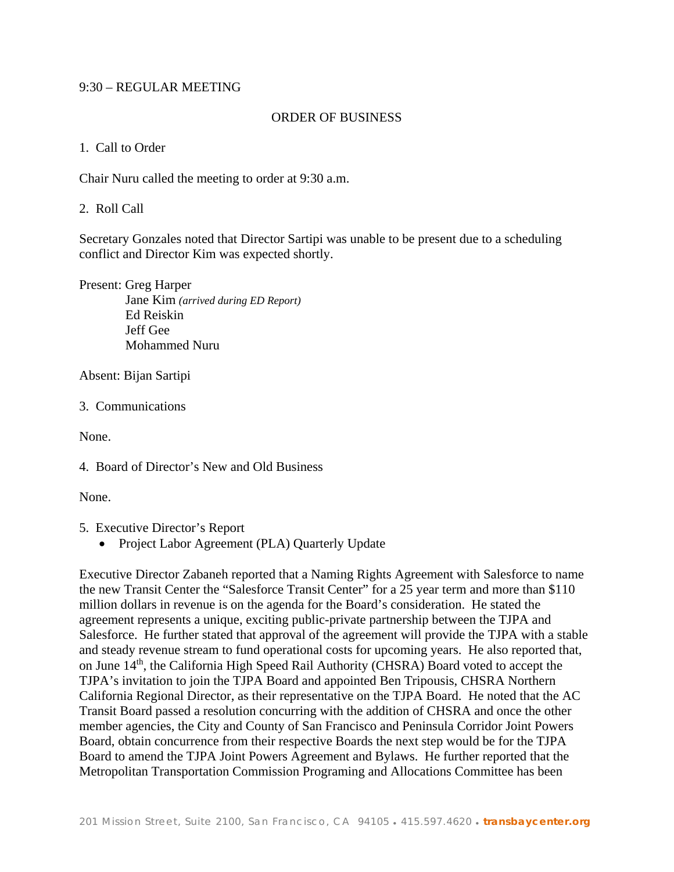## 9:30 – REGULAR MEETING

### ORDER OF BUSINESS

#### 1. Call to Order

Chair Nuru called the meeting to order at 9:30 a.m.

## 2. Roll Call

Secretary Gonzales noted that Director Sartipi was unable to be present due to a scheduling conflict and Director Kim was expected shortly.

Present: Greg Harper Jane Kim *(arrived during ED Report)*  Ed Reiskin Jeff Gee Mohammed Nuru

Absent: Bijan Sartipi

3. Communications

None.

None.

- 5. Executive Director's Report
	- Project Labor Agreement (PLA) Quarterly Update

Executive Director Zabaneh reported that a Naming Rights Agreement with Salesforce to name the new Transit Center the "Salesforce Transit Center" for a 25 year term and more than \$110 million dollars in revenue is on the agenda for the Board's consideration. He stated the agreement represents a unique, exciting public-private partnership between the TJPA and Salesforce. He further stated that approval of the agreement will provide the TJPA with a stable and steady revenue stream to fund operational costs for upcoming years. He also reported that, on June 14<sup>th</sup>, the California High Speed Rail Authority (CHSRA) Board voted to accept the TJPA's invitation to join the TJPA Board and appointed Ben Tripousis, CHSRA Northern California Regional Director, as their representative on the TJPA Board. He noted that the AC Transit Board passed a resolution concurring with the addition of CHSRA and once the other member agencies, the City and County of San Francisco and Peninsula Corridor Joint Powers Board, obtain concurrence from their respective Boards the next step would be for the TJPA Board to amend the TJPA Joint Powers Agreement and Bylaws. He further reported that the Metropolitan Transportation Commission Programing and Allocations Committee has been

<sup>4.</sup> Board of Director's New and Old Business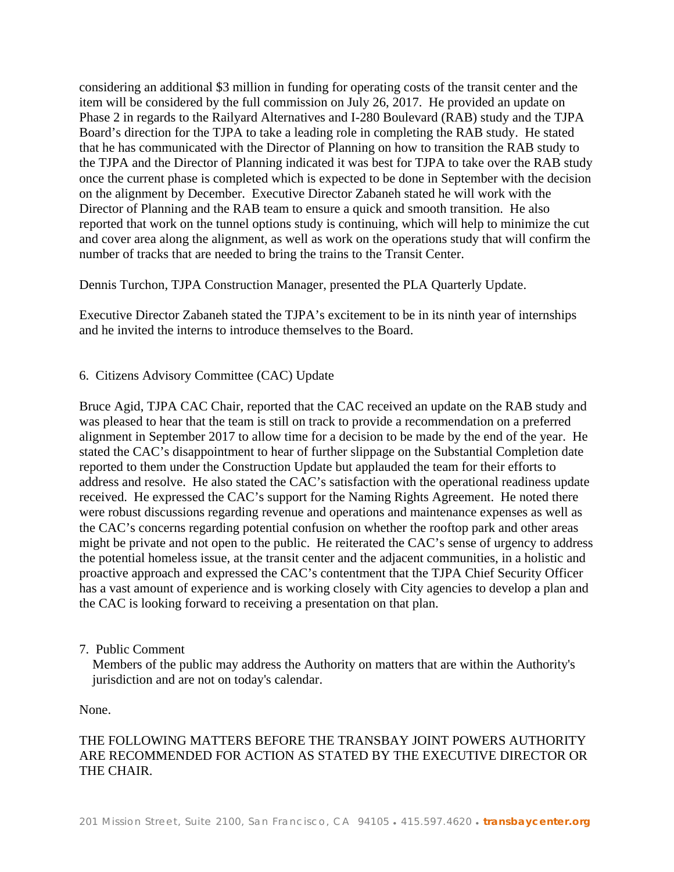considering an additional \$3 million in funding for operating costs of the transit center and the item will be considered by the full commission on July 26, 2017. He provided an update on Phase 2 in regards to the Railyard Alternatives and I-280 Boulevard (RAB) study and the TJPA Board's direction for the TJPA to take a leading role in completing the RAB study. He stated that he has communicated with the Director of Planning on how to transition the RAB study to the TJPA and the Director of Planning indicated it was best for TJPA to take over the RAB study once the current phase is completed which is expected to be done in September with the decision on the alignment by December. Executive Director Zabaneh stated he will work with the Director of Planning and the RAB team to ensure a quick and smooth transition. He also reported that work on the tunnel options study is continuing, which will help to minimize the cut and cover area along the alignment, as well as work on the operations study that will confirm the number of tracks that are needed to bring the trains to the Transit Center.

Dennis Turchon, TJPA Construction Manager, presented the PLA Quarterly Update.

Executive Director Zabaneh stated the TJPA's excitement to be in its ninth year of internships and he invited the interns to introduce themselves to the Board.

### 6. Citizens Advisory Committee (CAC) Update

Bruce Agid, TJPA CAC Chair, reported that the CAC received an update on the RAB study and was pleased to hear that the team is still on track to provide a recommendation on a preferred alignment in September 2017 to allow time for a decision to be made by the end of the year. He stated the CAC's disappointment to hear of further slippage on the Substantial Completion date reported to them under the Construction Update but applauded the team for their efforts to address and resolve. He also stated the CAC's satisfaction with the operational readiness update received. He expressed the CAC's support for the Naming Rights Agreement. He noted there were robust discussions regarding revenue and operations and maintenance expenses as well as the CAC's concerns regarding potential confusion on whether the rooftop park and other areas might be private and not open to the public. He reiterated the CAC's sense of urgency to address the potential homeless issue, at the transit center and the adjacent communities, in a holistic and proactive approach and expressed the CAC's contentment that the TJPA Chief Security Officer has a vast amount of experience and is working closely with City agencies to develop a plan and the CAC is looking forward to receiving a presentation on that plan.

#### 7. Public Comment

 Members of the public may address the Authority on matters that are within the Authority's jurisdiction and are not on today's calendar.

None.

# THE FOLLOWING MATTERS BEFORE THE TRANSBAY JOINT POWERS AUTHORITY ARE RECOMMENDED FOR ACTION AS STATED BY THE EXECUTIVE DIRECTOR OR THE CHAIR.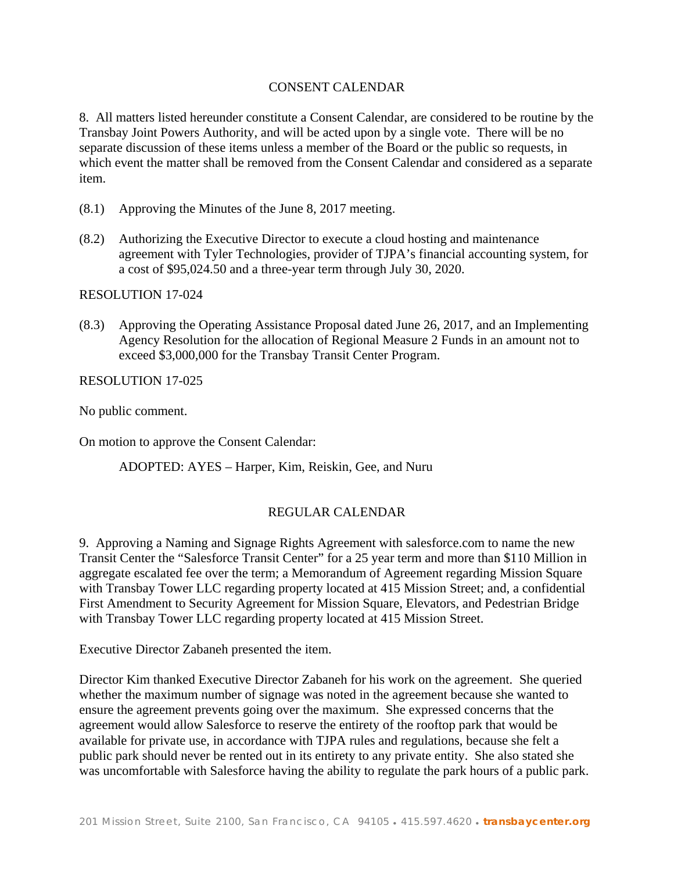## CONSENT CALENDAR

8. All matters listed hereunder constitute a Consent Calendar, are considered to be routine by the Transbay Joint Powers Authority, and will be acted upon by a single vote. There will be no separate discussion of these items unless a member of the Board or the public so requests, in which event the matter shall be removed from the Consent Calendar and considered as a separate item.

- (8.1) Approving the Minutes of the June 8, 2017 meeting.
- (8.2) Authorizing the Executive Director to execute a cloud hosting and maintenance agreement with Tyler Technologies, provider of TJPA's financial accounting system, for a cost of \$95,024.50 and a three-year term through July 30, 2020.

RESOLUTION 17-024

(8.3) Approving the Operating Assistance Proposal dated June 26, 2017, and an Implementing Agency Resolution for the allocation of Regional Measure 2 Funds in an amount not to exceed \$3,000,000 for the Transbay Transit Center Program.

RESOLUTION 17-025

No public comment.

On motion to approve the Consent Calendar:

ADOPTED: AYES – Harper, Kim, Reiskin, Gee, and Nuru

## REGULAR CALENDAR

9. Approving a Naming and Signage Rights Agreement with salesforce.com to name the new Transit Center the "Salesforce Transit Center" for a 25 year term and more than \$110 Million in aggregate escalated fee over the term; a Memorandum of Agreement regarding Mission Square with Transbay Tower LLC regarding property located at 415 Mission Street; and, a confidential First Amendment to Security Agreement for Mission Square, Elevators, and Pedestrian Bridge with Transbay Tower LLC regarding property located at 415 Mission Street.

Executive Director Zabaneh presented the item.

Director Kim thanked Executive Director Zabaneh for his work on the agreement. She queried whether the maximum number of signage was noted in the agreement because she wanted to ensure the agreement prevents going over the maximum. She expressed concerns that the agreement would allow Salesforce to reserve the entirety of the rooftop park that would be available for private use, in accordance with TJPA rules and regulations, because she felt a public park should never be rented out in its entirety to any private entity. She also stated she was uncomfortable with Salesforce having the ability to regulate the park hours of a public park.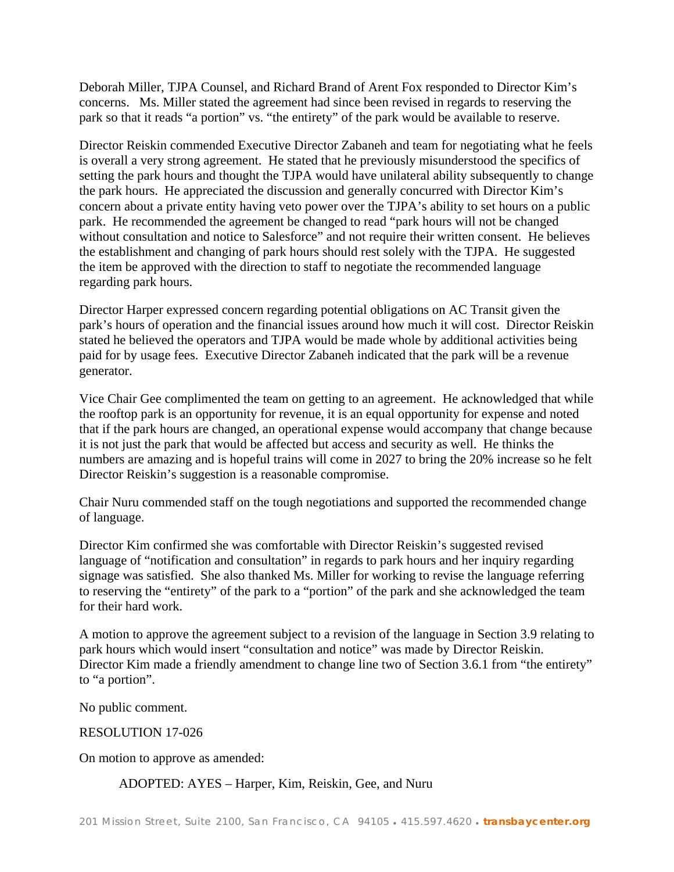Deborah Miller, TJPA Counsel, and Richard Brand of Arent Fox responded to Director Kim's concerns. Ms. Miller stated the agreement had since been revised in regards to reserving the park so that it reads "a portion" vs. "the entirety" of the park would be available to reserve.

Director Reiskin commended Executive Director Zabaneh and team for negotiating what he feels is overall a very strong agreement. He stated that he previously misunderstood the specifics of setting the park hours and thought the TJPA would have unilateral ability subsequently to change the park hours. He appreciated the discussion and generally concurred with Director Kim's concern about a private entity having veto power over the TJPA's ability to set hours on a public park. He recommended the agreement be changed to read "park hours will not be changed without consultation and notice to Salesforce" and not require their written consent. He believes the establishment and changing of park hours should rest solely with the TJPA. He suggested the item be approved with the direction to staff to negotiate the recommended language regarding park hours.

Director Harper expressed concern regarding potential obligations on AC Transit given the park's hours of operation and the financial issues around how much it will cost. Director Reiskin stated he believed the operators and TJPA would be made whole by additional activities being paid for by usage fees. Executive Director Zabaneh indicated that the park will be a revenue generator.

Vice Chair Gee complimented the team on getting to an agreement. He acknowledged that while the rooftop park is an opportunity for revenue, it is an equal opportunity for expense and noted that if the park hours are changed, an operational expense would accompany that change because it is not just the park that would be affected but access and security as well. He thinks the numbers are amazing and is hopeful trains will come in 2027 to bring the 20% increase so he felt Director Reiskin's suggestion is a reasonable compromise.

Chair Nuru commended staff on the tough negotiations and supported the recommended change of language.

Director Kim confirmed she was comfortable with Director Reiskin's suggested revised language of "notification and consultation" in regards to park hours and her inquiry regarding signage was satisfied. She also thanked Ms. Miller for working to revise the language referring to reserving the "entirety" of the park to a "portion" of the park and she acknowledged the team for their hard work.

A motion to approve the agreement subject to a revision of the language in Section 3.9 relating to park hours which would insert "consultation and notice" was made by Director Reiskin. Director Kim made a friendly amendment to change line two of Section 3.6.1 from "the entirety" to "a portion".

No public comment.

## RESOLUTION 17-026

On motion to approve as amended:

ADOPTED: AYES – Harper, Kim, Reiskin, Gee, and Nuru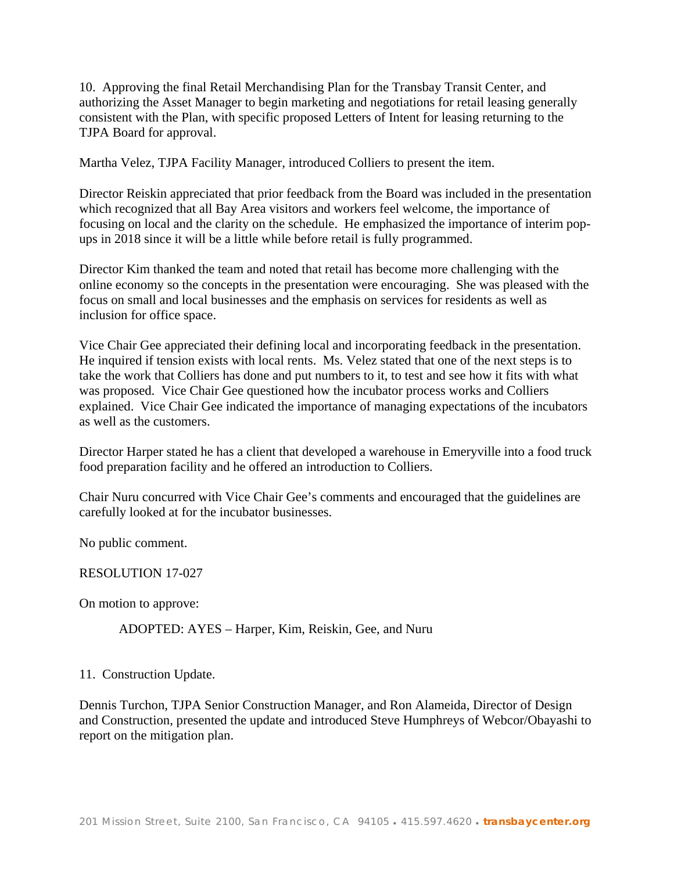10. Approving the final Retail Merchandising Plan for the Transbay Transit Center, and authorizing the Asset Manager to begin marketing and negotiations for retail leasing generally consistent with the Plan, with specific proposed Letters of Intent for leasing returning to the TJPA Board for approval.

Martha Velez, TJPA Facility Manager, introduced Colliers to present the item.

Director Reiskin appreciated that prior feedback from the Board was included in the presentation which recognized that all Bay Area visitors and workers feel welcome, the importance of focusing on local and the clarity on the schedule. He emphasized the importance of interim popups in 2018 since it will be a little while before retail is fully programmed.

Director Kim thanked the team and noted that retail has become more challenging with the online economy so the concepts in the presentation were encouraging. She was pleased with the focus on small and local businesses and the emphasis on services for residents as well as inclusion for office space.

Vice Chair Gee appreciated their defining local and incorporating feedback in the presentation. He inquired if tension exists with local rents. Ms. Velez stated that one of the next steps is to take the work that Colliers has done and put numbers to it, to test and see how it fits with what was proposed. Vice Chair Gee questioned how the incubator process works and Colliers explained. Vice Chair Gee indicated the importance of managing expectations of the incubators as well as the customers.

Director Harper stated he has a client that developed a warehouse in Emeryville into a food truck food preparation facility and he offered an introduction to Colliers.

Chair Nuru concurred with Vice Chair Gee's comments and encouraged that the guidelines are carefully looked at for the incubator businesses.

No public comment.

RESOLUTION 17-027

On motion to approve:

ADOPTED: AYES – Harper, Kim, Reiskin, Gee, and Nuru

11. Construction Update.

Dennis Turchon, TJPA Senior Construction Manager, and Ron Alameida, Director of Design and Construction, presented the update and introduced Steve Humphreys of Webcor/Obayashi to report on the mitigation plan.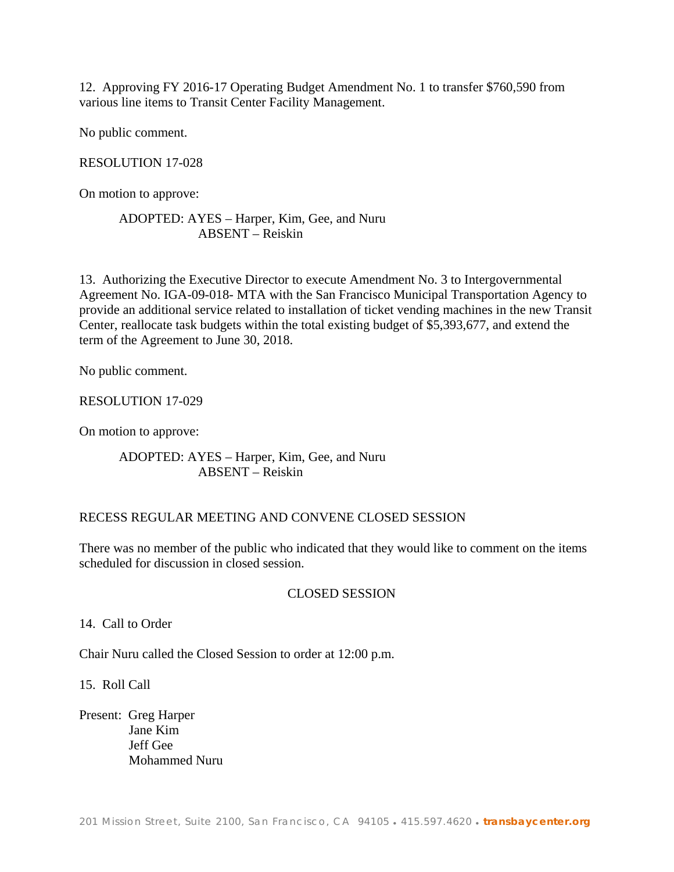12. Approving FY 2016-17 Operating Budget Amendment No. 1 to transfer \$760,590 from various line items to Transit Center Facility Management.

No public comment.

## RESOLUTION 17-028

On motion to approve:

## ADOPTED: AYES – Harper, Kim, Gee, and Nuru ABSENT – Reiskin

13. Authorizing the Executive Director to execute Amendment No. 3 to Intergovernmental Agreement No. IGA-09-018- MTA with the San Francisco Municipal Transportation Agency to provide an additional service related to installation of ticket vending machines in the new Transit Center, reallocate task budgets within the total existing budget of \$5,393,677, and extend the term of the Agreement to June 30, 2018.

No public comment.

RESOLUTION 17-029

On motion to approve:

ADOPTED: AYES – Harper, Kim, Gee, and Nuru ABSENT – Reiskin

## RECESS REGULAR MEETING AND CONVENE CLOSED SESSION

There was no member of the public who indicated that they would like to comment on the items scheduled for discussion in closed session.

## CLOSED SESSION

14. Call to Order

Chair Nuru called the Closed Session to order at 12:00 p.m.

15. Roll Call

Present: Greg Harper Jane Kim Jeff Gee Mohammed Nuru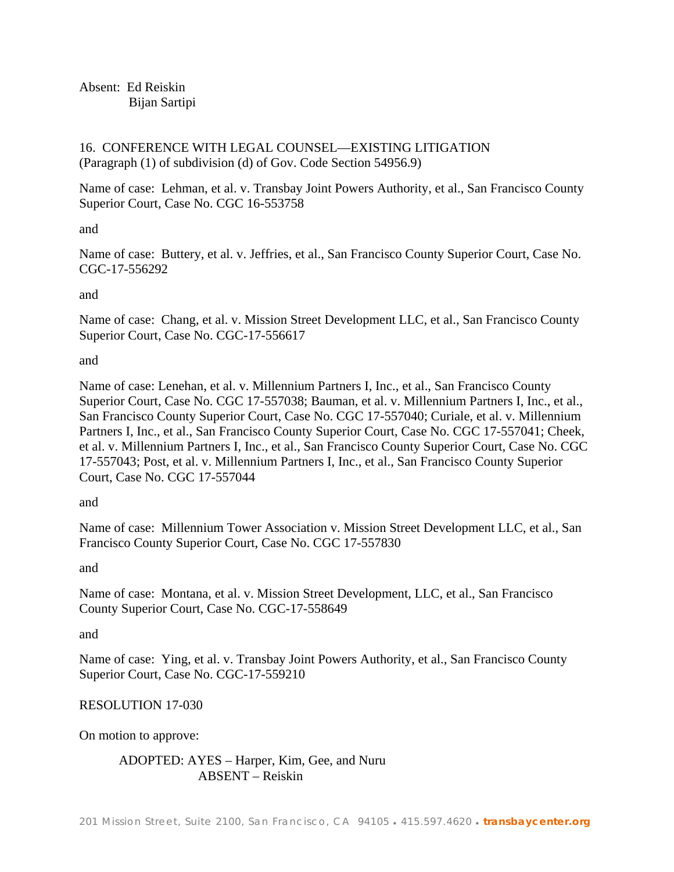Absent: Ed Reiskin Bijan Sartipi

16. CONFERENCE WITH LEGAL COUNSEL—EXISTING LITIGATION (Paragraph (1) of subdivision (d) of Gov. Code Section 54956.9)

Name of case: Lehman, et al. v. Transbay Joint Powers Authority, et al., San Francisco County Superior Court, Case No. CGC 16-553758

and

Name of case: Buttery, et al. v. Jeffries, et al., San Francisco County Superior Court, Case No. CGC-17-556292

and

Name of case: Chang, et al. v. Mission Street Development LLC, et al., San Francisco County Superior Court, Case No. CGC-17-556617

and

Name of case: Lenehan, et al. v. Millennium Partners I, Inc., et al., San Francisco County Superior Court, Case No. CGC 17-557038; Bauman, et al. v. Millennium Partners I, Inc., et al., San Francisco County Superior Court, Case No. CGC 17-557040; Curiale, et al. v. Millennium Partners I, Inc., et al., San Francisco County Superior Court, Case No. CGC 17-557041; Cheek, et al. v. Millennium Partners I, Inc., et al., San Francisco County Superior Court, Case No. CGC 17-557043; Post, et al. v. Millennium Partners I, Inc., et al., San Francisco County Superior Court, Case No. CGC 17-557044

and

Name of case: Millennium Tower Association v. Mission Street Development LLC, et al., San Francisco County Superior Court, Case No. CGC 17-557830

and

Name of case: Montana, et al. v. Mission Street Development, LLC, et al., San Francisco County Superior Court, Case No. CGC-17-558649

and

Name of case: Ying, et al. v. Transbay Joint Powers Authority, et al., San Francisco County Superior Court, Case No. CGC-17-559210

# RESOLUTION 17-030

On motion to approve:

ADOPTED: AYES – Harper, Kim, Gee, and Nuru ABSENT – Reiskin